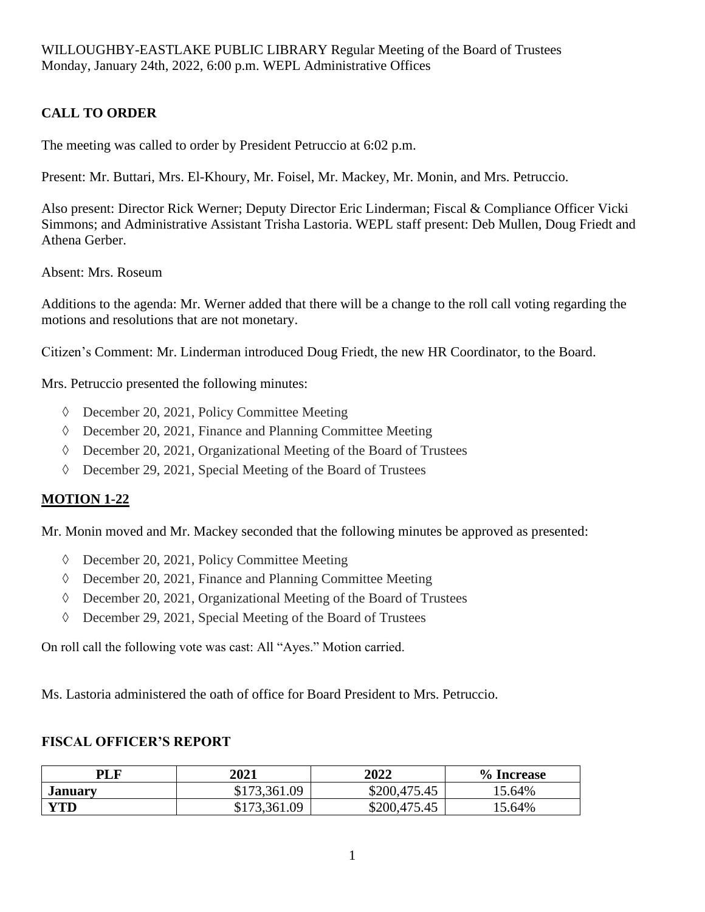## **CALL TO ORDER**

The meeting was called to order by President Petruccio at 6:02 p.m.

Present: Mr. Buttari, Mrs. El-Khoury, Mr. Foisel, Mr. Mackey, Mr. Monin, and Mrs. Petruccio.

Also present: Director Rick Werner; Deputy Director Eric Linderman; Fiscal & Compliance Officer Vicki Simmons; and Administrative Assistant Trisha Lastoria. WEPL staff present: Deb Mullen, Doug Friedt and Athena Gerber.

Absent: Mrs. Roseum

Additions to the agenda: Mr. Werner added that there will be a change to the roll call voting regarding the motions and resolutions that are not monetary.

Citizen's Comment: Mr. Linderman introduced Doug Friedt, the new HR Coordinator, to the Board.

Mrs. Petruccio presented the following minutes:

- December 20, 2021, Policy Committee Meeting
- $\Diamond$  December 20, 2021, Finance and Planning Committee Meeting
- December 20, 2021, Organizational Meeting of the Board of Trustees
- $\Diamond$  December 29, 2021, Special Meeting of the Board of Trustees

### **MOTION 1-22**

Mr. Monin moved and Mr. Mackey seconded that the following minutes be approved as presented:

- December 20, 2021, Policy Committee Meeting
- $\Diamond$  December 20, 2021, Finance and Planning Committee Meeting
- December 20, 2021, Organizational Meeting of the Board of Trustees
- December 29, 2021, Special Meeting of the Board of Trustees

On roll call the following vote was cast: All "Ayes." Motion carried.

Ms. Lastoria administered the oath of office for Board President to Mrs. Petruccio.

### **FISCAL OFFICER'S REPORT**

| <b>PLF</b>     | 2021         | 2022             | % Increase |
|----------------|--------------|------------------|------------|
| <b>January</b> | \$173,361.09 | \$200,475.45     | 15.64%     |
| <b>YTD</b>     | \$173,361.09 | \$200,475<br>.45 | 15.64%     |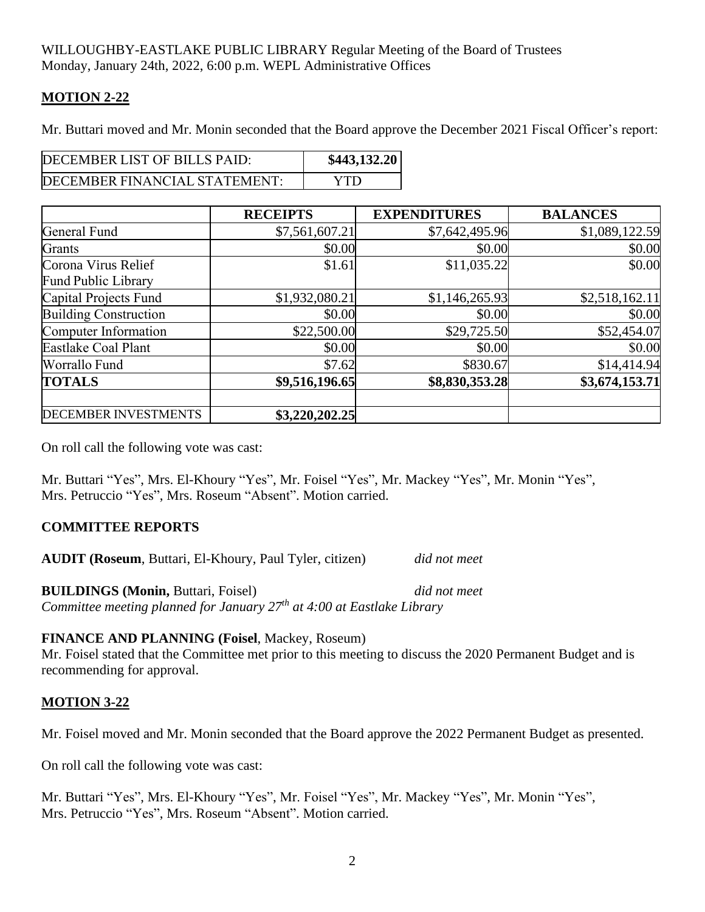### **MOTION 2-22**

Mr. Buttari moved and Mr. Monin seconded that the Board approve the December 2021 Fiscal Officer's report:

| DECEMBER LIST OF BILLS PAID:  | \$443,132.20 |
|-------------------------------|--------------|
| DECEMBER FINANCIAL STATEMENT: | YTD          |

|                                            | <b>RECEIPTS</b> | <b>EXPENDITURES</b> | <b>BALANCES</b> |
|--------------------------------------------|-----------------|---------------------|-----------------|
| General Fund                               | \$7,561,607.21  | \$7,642,495.96      | \$1,089,122.59  |
| Grants                                     | \$0.00          | \$0.00              | \$0.00          |
| Corona Virus Relief<br>Fund Public Library | \$1.61          | \$11,035.22         | \$0.00          |
| Capital Projects Fund                      | \$1,932,080.21  | \$1,146,265.93      | \$2,518,162.11  |
| Building Construction                      | \$0.00          | \$0.00              | \$0.00          |
| Computer Information                       | \$22,500.00     | \$29,725.50         | \$52,454.07     |
| Eastlake Coal Plant                        | \$0.00          | \$0.00              | \$0.00          |
| Worrallo Fund                              | \$7.62          | \$830.67            | \$14,414.94     |
| <b>TOTALS</b>                              | \$9,516,196.65  | \$8,830,353.28      | \$3,674,153.71  |
| <b>DECEMBER INVESTMENTS</b>                | \$3,220,202.25  |                     |                 |

On roll call the following vote was cast:

Mr. Buttari "Yes", Mrs. El-Khoury "Yes", Mr. Foisel "Yes", Mr. Mackey "Yes", Mr. Monin "Yes", Mrs. Petruccio "Yes", Mrs. Roseum "Absent". Motion carried.

### **COMMITTEE REPORTS**

**AUDIT (Roseum**, Buttari, El-Khoury, Paul Tyler, citizen) *did not meet*

**BUILDINGS (Monin,** Buttari, Foisel) *did not meet Committee meeting planned for January 27th at 4:00 at Eastlake Library*

#### **FINANCE AND PLANNING (Foisel**, Mackey, Roseum)

Mr. Foisel stated that the Committee met prior to this meeting to discuss the 2020 Permanent Budget and is recommending for approval.

### **MOTION 3-22**

Mr. Foisel moved and Mr. Monin seconded that the Board approve the 2022 Permanent Budget as presented.

On roll call the following vote was cast:

Mr. Buttari "Yes", Mrs. El-Khoury "Yes", Mr. Foisel "Yes", Mr. Mackey "Yes", Mr. Monin "Yes", Mrs. Petruccio "Yes", Mrs. Roseum "Absent". Motion carried.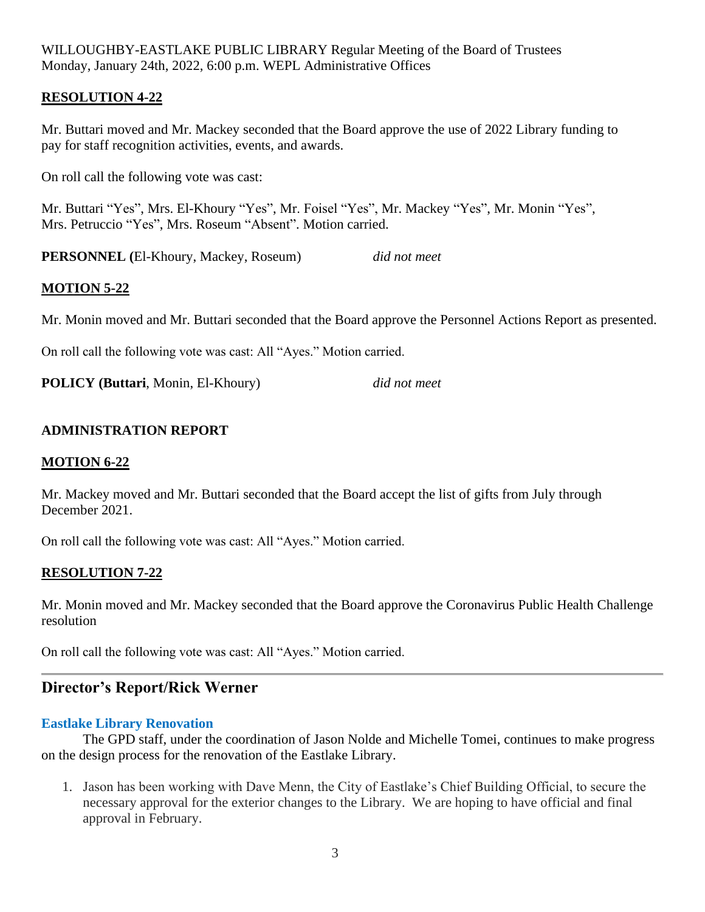### **RESOLUTION 4-22**

Mr. Buttari moved and Mr. Mackey seconded that the Board approve the use of 2022 Library funding to pay for staff recognition activities, events, and awards.

On roll call the following vote was cast:

Mr. Buttari "Yes", Mrs. El-Khoury "Yes", Mr. Foisel "Yes", Mr. Mackey "Yes", Mr. Monin "Yes", Mrs. Petruccio "Yes", Mrs. Roseum "Absent". Motion carried.

**PERSONNEL (**El-Khoury, Mackey, Roseum) *did not meet*

### **MOTION 5-22**

Mr. Monin moved and Mr. Buttari seconded that the Board approve the Personnel Actions Report as presented.

On roll call the following vote was cast: All "Ayes." Motion carried.

**POLICY (Buttari**, Monin, El-Khoury) *did not meet*

### **ADMINISTRATION REPORT**

#### **MOTION 6-22**

Mr. Mackey moved and Mr. Buttari seconded that the Board accept the list of gifts from July through December 2021.

On roll call the following vote was cast: All "Ayes." Motion carried.

#### **RESOLUTION 7-22**

Mr. Monin moved and Mr. Mackey seconded that the Board approve the Coronavirus Public Health Challenge resolution

On roll call the following vote was cast: All "Ayes." Motion carried.

## **Director's Report/Rick Werner**

#### **Eastlake Library Renovation**

The GPD staff, under the coordination of Jason Nolde and Michelle Tomei, continues to make progress on the design process for the renovation of the Eastlake Library.

1. Jason has been working with Dave Menn, the City of Eastlake's Chief Building Official, to secure the necessary approval for the exterior changes to the Library. We are hoping to have official and final approval in February.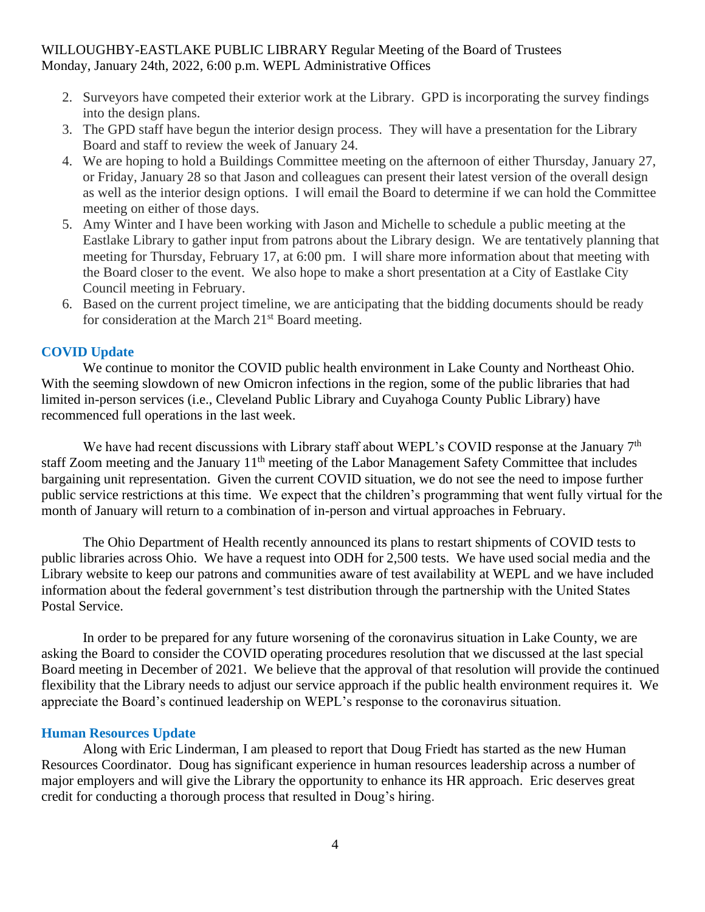- 2. Surveyors have competed their exterior work at the Library. GPD is incorporating the survey findings into the design plans.
- 3. The GPD staff have begun the interior design process. They will have a presentation for the Library Board and staff to review the week of January 24.
- 4. We are hoping to hold a Buildings Committee meeting on the afternoon of either Thursday, January 27, or Friday, January 28 so that Jason and colleagues can present their latest version of the overall design as well as the interior design options. I will email the Board to determine if we can hold the Committee meeting on either of those days.
- 5. Amy Winter and I have been working with Jason and Michelle to schedule a public meeting at the Eastlake Library to gather input from patrons about the Library design. We are tentatively planning that meeting for Thursday, February 17, at 6:00 pm. I will share more information about that meeting with the Board closer to the event. We also hope to make a short presentation at a City of Eastlake City Council meeting in February.
- 6. Based on the current project timeline, we are anticipating that the bidding documents should be ready for consideration at the March 21<sup>st</sup> Board meeting.

#### **COVID Update**

We continue to monitor the COVID public health environment in Lake County and Northeast Ohio. With the seeming slowdown of new Omicron infections in the region, some of the public libraries that had limited in-person services (i.e., Cleveland Public Library and Cuyahoga County Public Library) have recommenced full operations in the last week.

We have had recent discussions with Library staff about WEPL's COVID response at the January  $7<sup>th</sup>$ staff Zoom meeting and the January 11<sup>th</sup> meeting of the Labor Management Safety Committee that includes bargaining unit representation. Given the current COVID situation, we do not see the need to impose further public service restrictions at this time. We expect that the children's programming that went fully virtual for the month of January will return to a combination of in-person and virtual approaches in February.

The Ohio Department of Health recently announced its plans to restart shipments of COVID tests to public libraries across Ohio. We have a request into ODH for 2,500 tests. We have used social media and the Library website to keep our patrons and communities aware of test availability at WEPL and we have included information about the federal government's test distribution through the partnership with the United States Postal Service.

In order to be prepared for any future worsening of the coronavirus situation in Lake County, we are asking the Board to consider the COVID operating procedures resolution that we discussed at the last special Board meeting in December of 2021. We believe that the approval of that resolution will provide the continued flexibility that the Library needs to adjust our service approach if the public health environment requires it. We appreciate the Board's continued leadership on WEPL's response to the coronavirus situation.

#### **Human Resources Update**

Along with Eric Linderman, I am pleased to report that Doug Friedt has started as the new Human Resources Coordinator. Doug has significant experience in human resources leadership across a number of major employers and will give the Library the opportunity to enhance its HR approach. Eric deserves great credit for conducting a thorough process that resulted in Doug's hiring.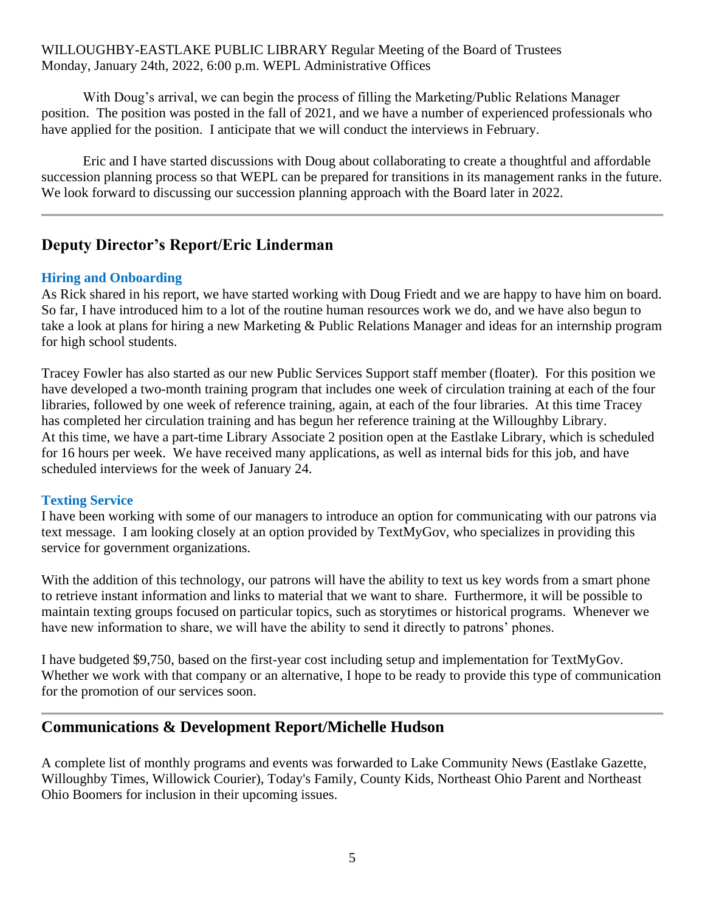With Doug's arrival, we can begin the process of filling the Marketing/Public Relations Manager position. The position was posted in the fall of 2021, and we have a number of experienced professionals who have applied for the position. I anticipate that we will conduct the interviews in February.

Eric and I have started discussions with Doug about collaborating to create a thoughtful and affordable succession planning process so that WEPL can be prepared for transitions in its management ranks in the future. We look forward to discussing our succession planning approach with the Board later in 2022.

# **Deputy Director's Report/Eric Linderman**

### **Hiring and Onboarding**

As Rick shared in his report, we have started working with Doug Friedt and we are happy to have him on board. So far, I have introduced him to a lot of the routine human resources work we do, and we have also begun to take a look at plans for hiring a new Marketing & Public Relations Manager and ideas for an internship program for high school students.

Tracey Fowler has also started as our new Public Services Support staff member (floater). For this position we have developed a two-month training program that includes one week of circulation training at each of the four libraries, followed by one week of reference training, again, at each of the four libraries. At this time Tracey has completed her circulation training and has begun her reference training at the Willoughby Library. At this time, we have a part-time Library Associate 2 position open at the Eastlake Library, which is scheduled for 16 hours per week. We have received many applications, as well as internal bids for this job, and have scheduled interviews for the week of January 24.

### **Texting Service**

I have been working with some of our managers to introduce an option for communicating with our patrons via text message. I am looking closely at an option provided by TextMyGov, who specializes in providing this service for government organizations.

With the addition of this technology, our patrons will have the ability to text us key words from a smart phone to retrieve instant information and links to material that we want to share. Furthermore, it will be possible to maintain texting groups focused on particular topics, such as storytimes or historical programs. Whenever we have new information to share, we will have the ability to send it directly to patrons' phones.

I have budgeted \$9,750, based on the first-year cost including setup and implementation for TextMyGov. Whether we work with that company or an alternative, I hope to be ready to provide this type of communication for the promotion of our services soon.

## **Communications & Development Report/Michelle Hudson**

A complete list of monthly programs and events was forwarded to Lake Community News (Eastlake Gazette, Willoughby Times, Willowick Courier), Today's Family, County Kids, Northeast Ohio Parent and Northeast Ohio Boomers for inclusion in their upcoming issues.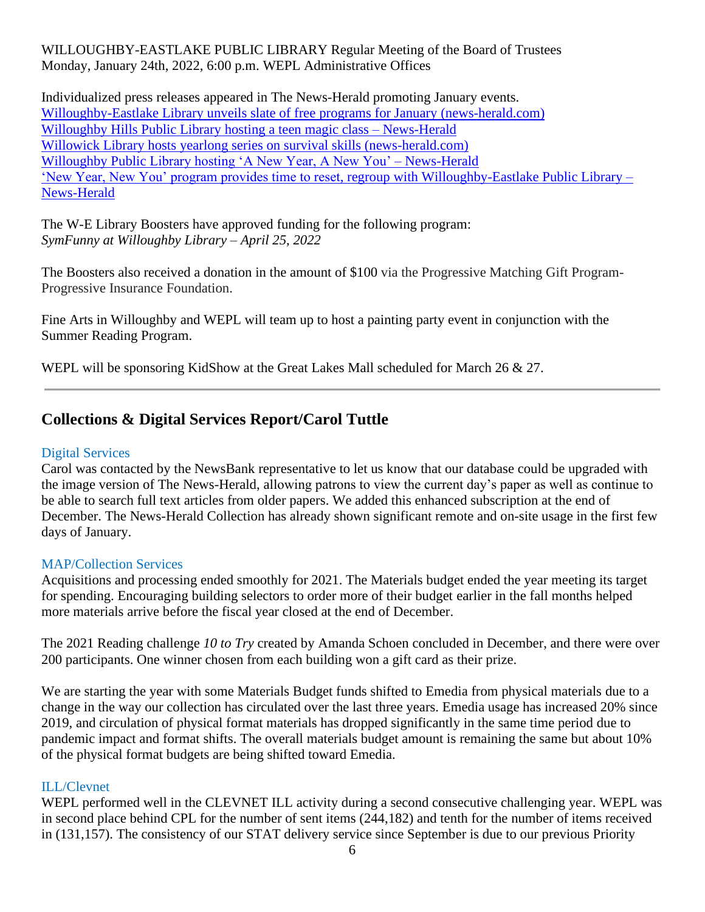Individualized press releases appeared in The News-Herald promoting January events. [Willoughby-Eastlake](https://www.news-herald.com/2021/12/25/tnh-l-welibraryprograms-1226/) Library unveils slate of free programs for January (news-herald.com) [Willoughby Hills Public Library hosting a teen magic class –](https://www.news-herald.com/2022/01/10/willoughby-hills-public-library-hosting-a-teen-magic-class/) News-Herald [Willowick Library hosts yearlong series on survival skills \(news-herald.com\)](https://www.news-herald.com/2022/01/13/willowick-library-hosts-yearlong-series-on-survival-skills/) [Willoughby Public Library hosting 'A New Year, A New You' –](https://www.news-herald.com/2022/01/10/willoughby-public-library-hosting-a-new-year-a-new-you/) News-Herald ['New Year, New You' program provides time to reset, regroup with Willoughby-Eastlake Public Library –](https://www.news-herald.com/2022/01/15/new-year-new-you-program-provides-time-to-reset-regroup-with-willoughby-eastlake-public-library/) [News-Herald](https://www.news-herald.com/2022/01/15/new-year-new-you-program-provides-time-to-reset-regroup-with-willoughby-eastlake-public-library/)

The W-E Library Boosters have approved funding for the following program: *SymFunny at Willoughby Library – April 25, 2022*

The Boosters also received a donation in the amount of \$100 via the Progressive Matching Gift Program-Progressive Insurance Foundation.

Fine Arts in Willoughby and WEPL will team up to host a painting party event in conjunction with the Summer Reading Program.

WEPL will be sponsoring KidShow at the Great Lakes Mall scheduled for March 26 & 27.

# **Collections & Digital Services Report/Carol Tuttle**

### Digital Services

Carol was contacted by the NewsBank representative to let us know that our database could be upgraded with the image version of The News-Herald, allowing patrons to view the current day's paper as well as continue to be able to search full text articles from older papers. We added this enhanced subscription at the end of December. The News-Herald Collection has already shown significant remote and on-site usage in the first few days of January.

### MAP/Collection Services

Acquisitions and processing ended smoothly for 2021. The Materials budget ended the year meeting its target for spending. Encouraging building selectors to order more of their budget earlier in the fall months helped more materials arrive before the fiscal year closed at the end of December.

The 2021 Reading challenge *10 to Try* created by Amanda Schoen concluded in December, and there were over 200 participants. One winner chosen from each building won a gift card as their prize.

We are starting the year with some Materials Budget funds shifted to Emedia from physical materials due to a change in the way our collection has circulated over the last three years. Emedia usage has increased 20% since 2019, and circulation of physical format materials has dropped significantly in the same time period due to pandemic impact and format shifts. The overall materials budget amount is remaining the same but about 10% of the physical format budgets are being shifted toward Emedia.

### ILL/Clevnet

WEPL performed well in the CLEVNET ILL activity during a second consecutive challenging year. WEPL was in second place behind CPL for the number of sent items (244,182) and tenth for the number of items received in (131,157). The consistency of our STAT delivery service since September is due to our previous Priority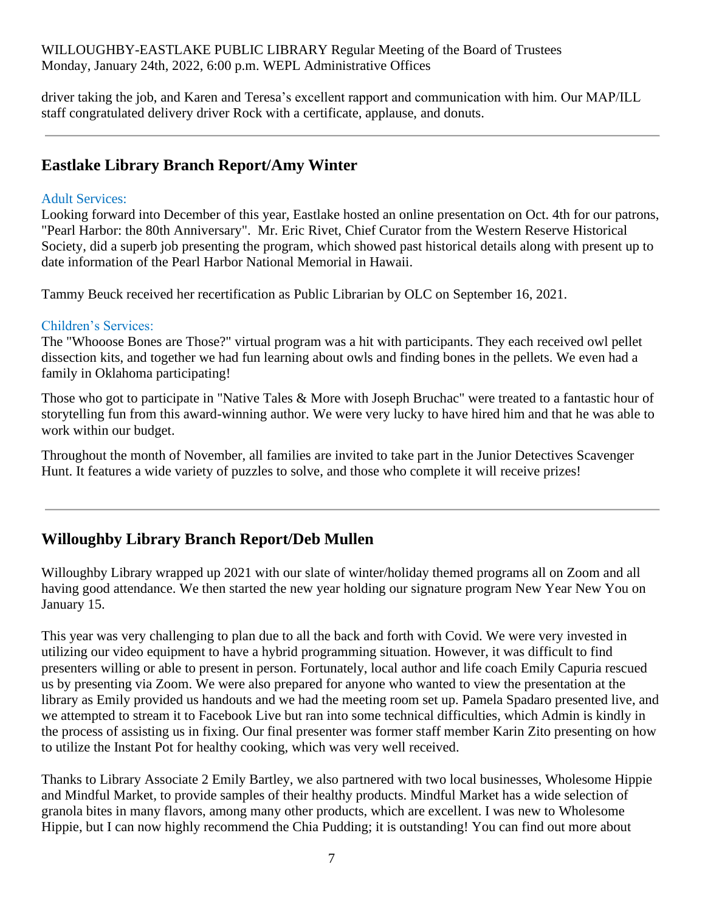driver taking the job, and Karen and Teresa's excellent rapport and communication with him. Our MAP/ILL staff congratulated delivery driver Rock with a certificate, applause, and donuts.

# **Eastlake Library Branch Report/Amy Winter**

### Adult Services:

Looking forward into December of this year, Eastlake hosted an online presentation on Oct. 4th for our patrons, "Pearl Harbor: the 80th Anniversary". Mr. Eric Rivet, Chief Curator from the Western Reserve Historical Society, did a superb job presenting the program, which showed past historical details along with present up to date information of the Pearl Harbor National Memorial in Hawaii.

Tammy Beuck received her recertification as Public Librarian by OLC on September 16, 2021.

## Children's Services:

The "Whooose Bones are Those?" virtual program was a hit with participants. They each received owl pellet dissection kits, and together we had fun learning about owls and finding bones in the pellets. We even had a family in Oklahoma participating!

Those who got to participate in "Native Tales & More with Joseph Bruchac" were treated to a fantastic hour of storytelling fun from this award-winning author. We were very lucky to have hired him and that he was able to work within our budget.

Throughout the month of November, all families are invited to take part in the Junior Detectives Scavenger Hunt. It features a wide variety of puzzles to solve, and those who complete it will receive prizes!

# **Willoughby Library Branch Report/Deb Mullen**

Willoughby Library wrapped up 2021 with our slate of winter/holiday themed programs all on Zoom and all having good attendance. We then started the new year holding our signature program New Year New You on January 15.

This year was very challenging to plan due to all the back and forth with Covid. We were very invested in utilizing our video equipment to have a hybrid programming situation. However, it was difficult to find presenters willing or able to present in person. Fortunately, local author and life coach Emily Capuria rescued us by presenting via Zoom. We were also prepared for anyone who wanted to view the presentation at the library as Emily provided us handouts and we had the meeting room set up. Pamela Spadaro presented live, and we attempted to stream it to Facebook Live but ran into some technical difficulties, which Admin is kindly in the process of assisting us in fixing. Our final presenter was former staff member Karin Zito presenting on how to utilize the Instant Pot for healthy cooking, which was very well received.

Thanks to Library Associate 2 Emily Bartley, we also partnered with two local businesses, Wholesome Hippie and Mindful Market, to provide samples of their healthy products. Mindful Market has a wide selection of granola bites in many flavors, among many other products, which are excellent. I was new to Wholesome Hippie, but I can now highly recommend the Chia Pudding; it is outstanding! You can find out more about